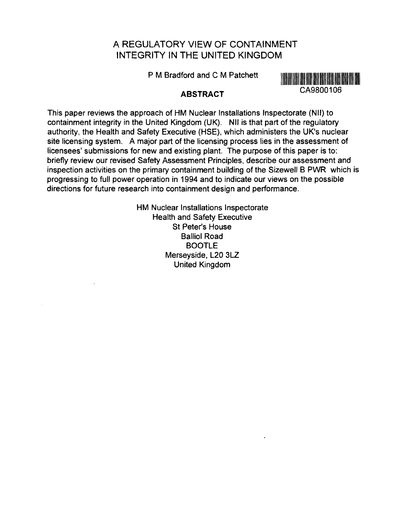# A REGULATORY VIEW OF CONTAINMENT INTEGRITY IN THE UNITED KINGDOM

P M Bradford and C M Patchett



### **ABSTRACT**

This paper reviews the approach of HM Nuclear Installations Inspectorate (Nil) to containment integrity in the United Kingdom (UK). Nil is that part of the regulatory authority, the Health and Safety Executive (HSE), which administers the UK's nuclear site licensing system. A major part of the licensing process lies in the assessment of licensees' submissions for new and existing plant. The purpose of this paper is to: briefly review our revised Safety Assessment Principles, describe our assessment and inspection activities on the primary containment building of the Sizewell B PWR which is progressing to full power operation in 1994 and to indicate our views on the possible directions for future research into containment design and performance.

> HM Nuclear Installations Inspectorate Health and Safety Executive St Peter's House Balliol Road **BOOTLE** Merseyside, L20 3LZ United Kingdom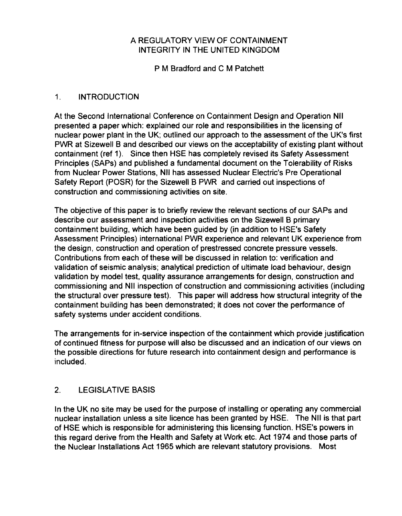### A REGULATORY VIEW OF CONTAINMENT INTEGRITY IN THE UNITED KINGDOM

P M Bradford and C M Patchett

### 1. INTRODUCTION

At the Second International Conference on Containment Design and Operation Nil presented a paper which: explained our role and responsibilities in the licensing of nuclear power plant in the UK; outlined our approach to the assessment of the UK's first PWR at Sizewell B and described our views on the acceptability of existing plant without containment (ref 1). Since then HSE has completely revised its Safety Assessment Principles (SAPs) and published a fundamental document on the Tolerability of Risks from Nuclear Power Stations, Nil has assessed Nuclear Electric's Pre Operational Safety Report (POSR) for the Sizewell B PWR and carried out inspections of construction and commissioning activities on site.

The objective of this paper is to briefly review the relevant sections of our SAPs and describe our assessment and inspection activities on the Sizewell B primary containment building, which have been guided by (in addition to HSE's Safety Assessment Principles) international PWR experience and relevant UK experience from the design, construction and operation of prestressed concrete pressure vessels. Contributions from each of these will be discussed in relation to: verification and validation of seismic analysis; analytical prediction of ultimate load behaviour, design validation by model test, quality assurance arrangements for design, construction and commissioning and Nil inspection of construction and commissioning activities (including the structural over pressure test). This paper will address how structural integrity of the containment building has been demonstrated; it does not cover the performance of safety systems under accident conditions.

The arrangements for in-service inspection of the containment which provide justification of continued fitness for purpose will also be discussed and an indication of our views on the possible directions for future research into containment design and performance is included.

# 2. LEGISLATIVE BASIS

In the UK no site may be used for the purpose of installing or operating any commercial nuclear installation unless a site licence has been granted by HSE. The Nil is that part of HSE which is responsible for administering this licensing function. HSE's powers in this regard derive from the Health and Safety at Work etc. Act 1974 and those parts of the Nuclear Installations Act 1965 which are relevant statutory provisions. Most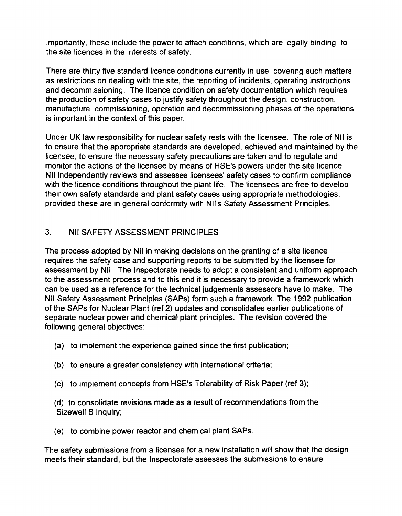importantly, these include the power to attach conditions, which are legally binding, to the site licences in the interests of safety.

There are thirty five standard licence conditions currently in use, covering such matters as restrictions on dealing with the site, the reporting of incidents, operating instructions and decommissioning. The licence condition on safety documentation which requires the production of safety cases to justify safety throughout the design, construction, manufacture, commissioning, operation and decommissioning phases of the operations is important in the context of this paper.

Under UK law responsibility for nuclear safety rests with the licensee. The role of Nil is to ensure that the appropriate standards are developed, achieved and maintained by the licensee, to ensure the necessary safety precautions are taken and to regulate and monitor the actions of the licensee by means of HSE's powers under the site licence. Nil independently reviews and assesses licensees' safety cases to confirm compliance with the licence conditions throughout the plant life. The licensees are free to develop their own safety standards and plant safety cases using appropriate methodologies, provided these are in general conformity with Nil's Safety Assessment Principles.

# 3. Nil SAFETY ASSESSMENT PRINCIPLES

The process adopted by Nil in making decisions on the granting of a site licence requires the safety case and supporting reports to be submitted by the licensee for assessment by Nil. The Inspectorate needs to adopt a consistent and uniform approach to the assessment process and to this end it is necessary to provide a framework which can be used as a reference for the technical judgements assessors have to make. The Nil Safety Assessment Principles (SAPs) form such a framework. The 1992 publication of the SAPs for Nuclear Plant (ref 2) updates and consolidates earlier publications of separate nuclear power and chemical plant principles. The revision covered the following general objectives:

- (a) to implement the experience gained since the first publication;
- (b) to ensure a greater consistency with international criteria;
- (c) to implement concepts from HSE's Tolerability of Risk Paper (ref 3);
- (d) to consolidate revisions made as a result of recommendations from the Sizewell B Inquiry;
- (e) to combine power reactor and chemical plant SAPs.

The safety submissions from a licensee for a new installation will show that the design meets their standard, but the Inspectorate assesses the submissions to ensure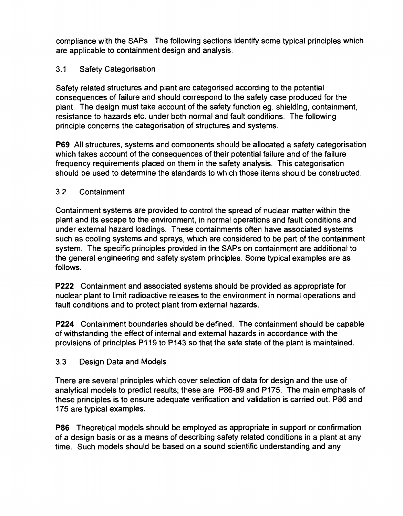compliance with the SAPs. The following sections identify some typical principles which are applicable to containment design and analysis.

## 3.1 Safety Categorisation

Safety related structures and plant are categorised according to the potential consequences of failure and should correspond to the safety case produced for the plant. The design must take account of the safety function eg. shielding, containment, resistance to hazards etc. under both normal and fault conditions. The following principle concerns the categorisation of structures and systems.

**P69** All structures, systems and components should be allocated a safety categorisation which takes account of the consequences of their potential failure and of the failure frequency requirements placed on them in the safety analysis. This categorisation should be used to determine the standards to which those items should be constructed.

#### 3.2 Containment

Containment systems are provided to control the spread of nuclear matter within the plant and its escape to the environment, in normal operations and fault conditions and under external hazard loadings. These containments often have associated systems such as cooling systems and sprays, which are considered to be part of the containment system. The specific principles provided in the SAPs on containment are additional to the general engineering and safety system principles. Some typical examples are as follows.

**P222** Containment and associated systems should be provided as appropriate for nuclear plant to limit radioactive releases to the environment in normal operations and fault conditions and to protect plant from external hazards.

**P224** Containment boundaries should be defined. The containment should be capable of withstanding the effect of internal and external hazards in accordance with the provisions of principles P119 to P143 so that the safe state of the plant is maintained.

### 3.3 Design Data and Models

There are several principles which cover selection of data for design and the use of analytical models to predict results; these are P86-89 and P175. The main emphasis of these principles is to ensure adequate verification and validation is carried out. P86 and 175 are typical examples.

**P86** Theoretical models should be employed as appropriate in support or confirmation of a design basis or as a means of describing safety related conditions in a plant at any time. Such models should be based on a sound scientific understanding and any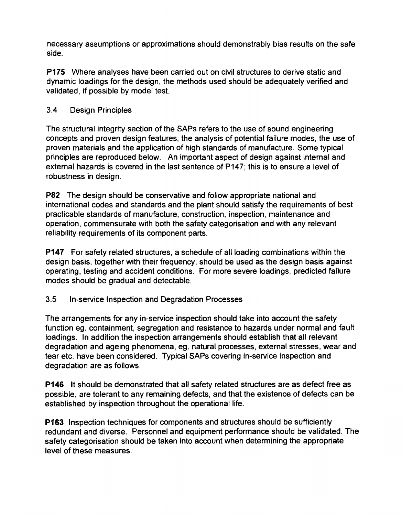necessary assumptions or approximations should demonstrably bias results on the safe side.

**P175** Where analyses have been carried out on civil structures to derive static and dynamic loadings for the design, the methods used should be adequately verified and validated, if possible by model test.

### 3.4 Design Principles

The structural integrity section of the SAPs refers to the use of sound engineering concepts and proven design features, the analysis of potential failure modes, the use of proven materials and the application of high standards of manufacture. Some typical principles are reproduced below. An important aspect of design against internal and external hazards is covered in the last sentence of P147; this is to ensure a level of robustness in design.

**P82** The design should be conservative and follow appropriate national and international codes and standards and the plant should satisfy the requirements of best practicable standards of manufacture, construction, inspection, maintenance and operation, commensurate with both the safety categorisation and with any relevant reliability requirements of its component parts.

**P147** For safety related structures, a schedule of all loading combinations within the design basis, together with their frequency, should be used as the design basis against operating, testing and accident conditions. For more severe loadings, predicted failure modes should be gradual and detectable.

### 3.5 In-service Inspection and Degradation Processes

The arrangements for any in-service inspection should take into account the safety function eg. containment, segregation and resistance to hazards under normal and fault loadings. In addition the inspection arrangements should establish that all relevant degradation and ageing phenomena, eg. natural processes, external stresses, wear and tear etc. have been considered. Typical SAPs covering in-service inspection and degradation are as follows.

**P146** It should be demonstrated that all safety related structures are as defect free as possible, are tolerant to any remaining defects, and that the existence of defects can be established by inspection throughout the operational life.

**P163** Inspection techniques for components and structures should be sufficiently redundant and diverse. Personnel and equipment performance should be validated. The safety categorisation should be taken into account when determining the appropriate level of these measures.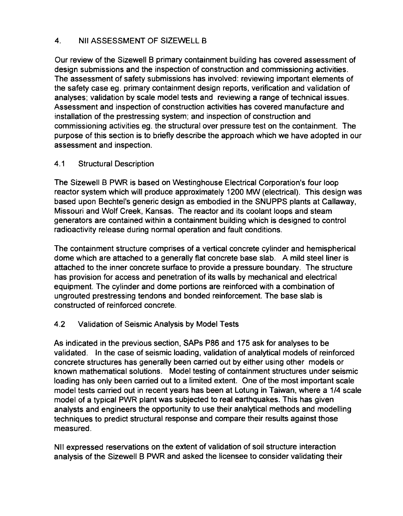### 4. Nil ASSESSMENT OF SIZEWELL B

Our review of the Sizewell B primary containment building has covered assessment of design submissions and the inspection of construction and commissioning activities. The assessment of safety submissions has involved: reviewing important elements of the safety case eg. primary containment design reports, verification and validation of analyses; validation by scale model tests and reviewing a range of technical issues. Assessment and inspection of construction activities has covered manufacture and installation of the prestressing system; and inspection of construction and commissioning activities eg. the structural over pressure test on the containment. The purpose of this section is to briefly describe the approach which we have adopted in our assessment and inspection.

#### 4.1 Structural Description

The Sizewell B PWR is based on Westinghouse Electrical Corporation's four loop reactor system which will produce approximately 1200 MW (electrical). This design was based upon Bechtel's generic design as embodied in the SNUPPS plants at Callaway, Missouri and Wolf Creek, Kansas. The reactor and its coolant loops and steam generators are contained within a containment building which is designed to control radioactivity release during normal operation and fault conditions.

The containment structure comprises of a vertical concrete cylinder and hemispherical dome which are attached to a generally flat concrete base slab. A mild steel liner is attached to the inner concrete surface to provide a pressure boundary. The structure has provision for access and penetration of its walls by mechanical and electrical equipment. The cylinder and dome portions are reinforced with a combination of ungrouted prestressing tendons and bonded reinforcement. The base slab is constructed of reinforced concrete.

#### 4.2 Validation of Seismic Analysis by Model Tests

As indicated in the previous section, SAPs P86 and 175 ask for analyses to be validated. In the case of seismic loading, validation of analytical models of reinforced concrete structures has generally been carried out by either using other models or known mathematical solutions. Model testing of containment structures under seismic loading has only been carried out to a limited extent. One of the most important scale model tests carried out in recent years has been at Lotung in Taiwan, where a 1/4 scale model of a typical PWR plant was subjected to real earthquakes. This has given analysts and engineers the opportunity to use their analytical methods and modelling techniques to predict structural response and compare their results against those measured.

Nil expressed reservations on the extent of validation of soil structure interaction analysis of the Sizewell B PWR and asked the licensee to consider validating their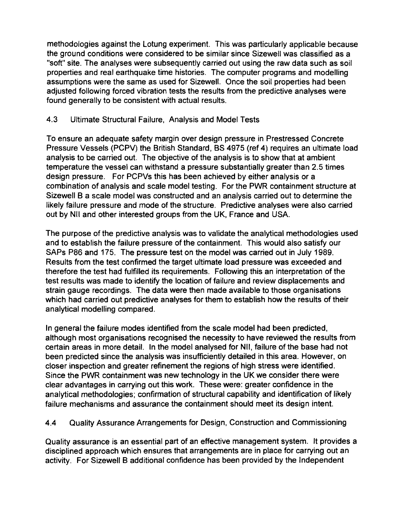methodologies against the Lotung experiment. This was particularly applicable because the ground conditions were considered to be similar since Sizewell was classified as a "soft" site. The analyses were subsequently carried out using the raw data such as soil properties and real earthquake time histories. The computer programs and modelling assumptions were the same as used for Sizewell. Once the soil properties had been adjusted following forced vibration tests the results from the predictive analyses were found generally to be consistent with actual results.

### 4.3 Ultimate Structural Failure, Analysis and Model Tests

To ensure an adequate safety margin over design pressure in Prestressed Concrete Pressure Vessels (PCPV) the British Standard, BS 4975 (ref 4) requires an ultimate load analysis to be carried out. The objective of the analysis is to show that at ambient temperature the vessel can withstand a pressure substantially greater than 2.5 times design pressure. For PCPVs this has been achieved by either analysis or a combination of analysis and scale model testing. For the PWR containment structure at Sizewell B a scale model was constructed and an analysis carried out to determine the likely failure pressure and mode of the structure. Predictive analyses were also carried out by Nil and other interested groups from the UK, France and USA.

The purpose of the predictive analysis was to validate the analytical methodologies used and to establish the failure pressure of the containment. This would also satisfy our SAPs P86 and 175. The pressure test on the model was carried out in July 1989. Results from the test confirmed the target ultimate load pressure was exceeded and therefore the test had fulfilled its requirements. Following this an interpretation of the test results was made to identify the location of failure and review displacements and strain gauge recordings. The data were then made available to those organisations which had carried out predictive analyses for them to establish how the results of their analytical modelling compared.

In general the failure modes identified from the scale model had been predicted, although most organisations recognised the necessity to have reviewed the results from certain areas in more detail. In the model analysed for Nil, failure of the base had not been predicted since the analysis was insufficiently detailed in this area. However, on closer inspection and greater refinement the regions of high stress were identified. Since the PWR containment was new technology in the UK we consider there were clear advantages in carrying out this work. These were: greater confidence in the analytical methodologies; confirmation of structural capability and identification of likely failure mechanisms and assurance the containment should meet its design intent.

4.4 Quality Assurance Arrangements for Design, Construction and Commissioning

Quality assurance is an essential part of an effective management system. It provides a disciplined approach which ensures that arrangements are in place for carrying out an activity. For Sizewell B additional confidence has been provided by the Independent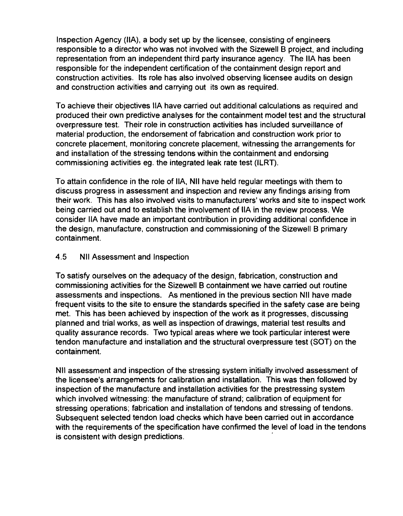Inspection Agency (HA), a body set up by the licensee, consisting of engineers responsible to a director who was not involved with the Sizewell B project, and including representation from an independent third party insurance agency. The IIA has been responsible for the independent certification of the containment design report and construction activities. Its role has also involved observing licensee audits on design and construction activities and carrying out its own as required.

To achieve their objectives IIA have carried out additional calculations as required and produced their own predictive analyses for the containment model test and the structural overpressure test. Their role in construction activities has included surveillance of material production, the endorsement of fabrication and construction work prior to concrete placement, monitoring concrete placement, witnessing the arrangements for and installation of the stressing tendons within the containment and endorsing commissioning activities eg. the integrated leak rate test (ILRT).

To attain confidence in the role of IIA, Nil have held regular meetings with them to discuss progress in assessment and inspection and review any findings arising from their work. This has also involved visits to manufacturers' works and site to inspect work being carried out and to establish the involvement of IIA in the review process. We consider IIA have made an important contribution in providing additional confidence in the design, manufacture, construction and commissioning of the Sizewell B primary containment.

#### 4.5 Nil Assessment and Inspection

To satisfy ourselves on the adequacy of the design, fabrication, construction and commissioning activities for the Sizewell B containment we have carried out routine assessments and inspections. As mentioned in the previous section Nil have made frequent visits to the site to ensure the standards specified in the safety case are being met. This has been achieved by inspection of the work as it progresses, discussing planned and trial works, as well as inspection of drawings, material test results and quality assurance records. Two typical areas where we took particular interest were tendon manufacture and installation and the structural overpressure test (SOT) on the containment.

Nil assessment and inspection of the stressing system initially involved assessment of the licensee's arrangements for calibration and installation. This was then followed by inspection of the manufacture and installation activities for the prestressing system which involved witnessing: the manufacture of strand; calibration of equipment for stressing operations; fabrication and installation of tendons and stressing of tendons. Subsequent selected tendon load checks which have been carried out in accordance with the requirements of the specification have confirmed the level of load in the tendons is consistent with design predictions.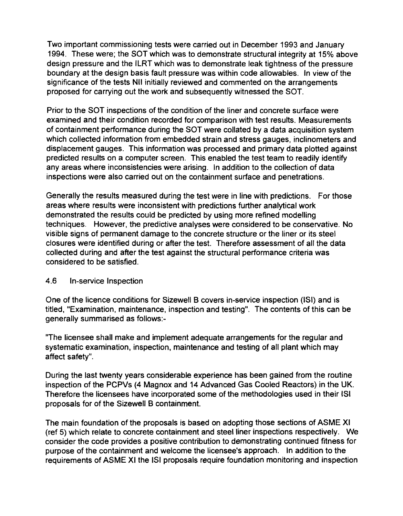Two important commissioning tests were carried out in December 1993 and January 1994. These were; the SOT which was to demonstrate structural integrity at 15% above design pressure and the ILRT which was to demonstrate leak tightness of the pressure boundary at the design basis fault pressure was within code allowables. In view of the significance of the tests Nil initially reviewed and commented on the arrangements proposed for carrying out the work and subsequently witnessed the SOT.

Prior to the SOT inspections of the condition of the liner and concrete surface were examined and their condition recorded for comparison with test results. Measurements of containment performance during the SOT were collated by a data acquisition system which collected information from embedded strain and stress gauges, inclinometers and displacement gauges. This information was processed and primary data plotted against predicted results on a computer screen. This enabled the test team to readily identify any areas where inconsistencies were arising. In addition to the collection of data inspections were also carried out on the containment surface and penetrations.

Generally the results measured during the test were in line with predictions. For those areas where results were inconsistent with predictions further analytical work demonstrated the results could be predicted by using more refined modelling techniques. However, the predictive analyses were considered to be conservative. No visible signs of permanent damage to the concrete structure or the liner or its steel closures were identified during or after the test. Therefore assessment of all the data collected during and after the test against the structural performance criteria was considered to be satisfied.

#### 4.6 In-service Inspection

One of the licence conditions for Sizewell B covers in-service inspection (ISI) and is titled, "Examination, maintenance, inspection and testing". The contents of this can be generally summarised as follows:-

"The licensee shall make and implement adequate arrangements for the regular and systematic examination, inspection, maintenance and testing of all plant which may affect safety".

During the last twenty years considerable experience has been gained from the routine inspection of the PCPVs (4 Magnox and 14 Advanced Gas Cooled Reactors) in the UK. Therefore the licensees have incorporated some of the methodologies used in their ISI proposals for of the Sizewell B containment.

The main foundation of the proposals is based on adopting those sections of ASME XI (ref 5) which relate to concrete containment and steel liner inspections respectively. We consider the code provides a positive contribution to demonstrating continued fitness for purpose of the containment and welcome the licensee's approach. In addition to the requirements of ASME XI the ISI proposals require foundation monitoring and inspection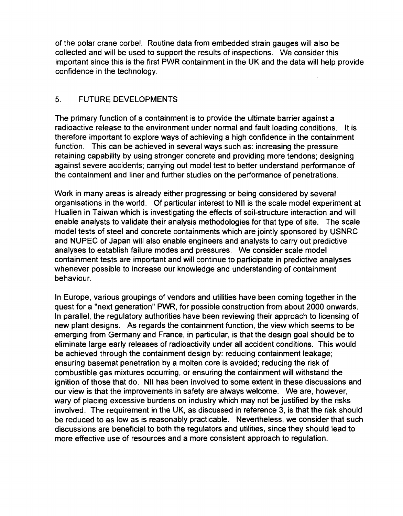of the polar crane corbel. Routine data from embedded strain gauges will also be collected and will be used to support the results of inspections. We consider this important since this is the first PWR containment in the UK and the data will help provide confidence in the technology.

#### 5. FUTURE DEVELOPMENTS

The primary function of a containment is to provide the ultimate barrier against a radioactive release to the environment under normal and fault loading conditions. It is therefore important to explore ways of achieving a high confidence in the containment function. This can be achieved in several ways such as: increasing the pressure retaining capability by using stronger concrete and providing more tendons; designing against severe accidents; carrying out model test to better understand performance of the containment and liner and further studies on the performance of penetrations.

Work in many areas is already either progressing or being considered by several organisations in the world. Of particular interest to Nil is the scale model experiment at Hualien in Taiwan which is investigating the effects of soil-structure interaction and will enable analysts to validate their analysis methodologies for that type of site. The scale model tests of steel and concrete containments which are jointly sponsored by USNRC and NUPEC of Japan will also enable engineers and analysts to carry out predictive analyses to establish failure modes and pressures. We consider scale model containment tests are important and will continue to participate in predictive analyses whenever possible to increase our knowledge and understanding of containment behaviour.

In Europe, various groupings of vendors and utilities have been coming together in the quest for a "next generation" PWR, for possible construction from about 2000 onwards. In parallel, the regulatory authorities have been reviewing their approach to licensing of new plant designs. As regards the containment function, the view which seems to be emerging from Germany and France, in particular, is that the design goal should be to eliminate large early releases of radioactivity under all accident conditions. This would be achieved through the containment design by: reducing containment leakage; ensuring basemat penetration by a molten core is avoided; reducing the risk of combustible gas mixtures occurring, or ensuring the containment will withstand the ignition of those that do. Nil has been involved to some extent in these discussions and our view is that the improvements in safety are always welcome. We are, however, wary of placing excessive burdens on industry which may not be justified by the risks involved. The requirement in the UK, as discussed in reference 3, is that the risk should be reduced to as low as is reasonably practicable. Nevertheless, we consider that such discussions are beneficial to both the regulators and utilities, since they should lead to more effective use of resources and a more consistent approach to regulation.